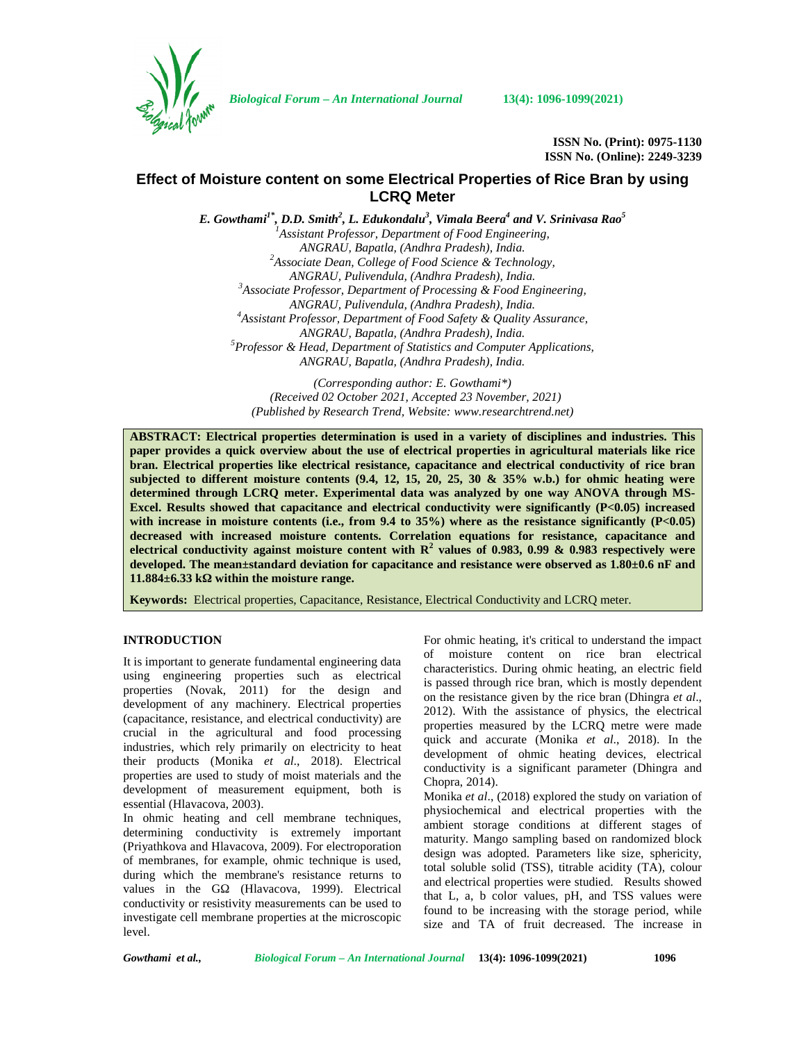

*Biological Forum – An International Journal* **13(4): 1096-1099(2021)**

**ISSN No. (Print): 0975-1130 ISSN No. (Online): 2249-3239**

# **Effect of Moisture content on some Electrical Properties of Rice Bran by using LCRQ Meter**

*E. Gowthami1\*, D.D. Smith<sup>2</sup> , L. Edukondalu<sup>3</sup> , Vimala Beera<sup>4</sup> and V. Srinivasa Rao<sup>5</sup> <sup>1</sup>Assistant Professor, Department of Food Engineering, ANGRAU, Bapatla, (Andhra Pradesh), India. <sup>2</sup>Associate Dean, College of Food Science & Technology, ANGRAU, Pulivendula, (Andhra Pradesh), India. <sup>3</sup>Associate Professor, Department of Processing & Food Engineering, ANGRAU, Pulivendula, (Andhra Pradesh), India. <sup>4</sup>Assistant Professor, Department of Food Safety & Quality Assurance, ANGRAU, Bapatla, (Andhra Pradesh), India. <sup>5</sup>Professor & Head, Department of Statistics and Computer Applications, ANGRAU, Bapatla, (Andhra Pradesh), India.*

> *(Corresponding author: E. Gowthami\*) (Received 02 October 2021, Accepted 23 November, 2021) (Published by Research Trend, Website: [www.researchtrend.net\)](www.researchtrend.net)*

**ABSTRACT: Electrical properties determination is used in a variety of disciplines and industries. This paper provides a quick overview about the use of electrical properties in agricultural materials like rice bran. Electrical properties like electrical resistance, capacitance and electrical conductivity of rice bran subjected to different moisture contents (9.4, 12, 15, 20, 25, 30 & 35% w.b.) for ohmic heating were determined through LCRQ meter. Experimental data was analyzed by one way ANOVA through MS- Excel. Results showed that capacitance and electrical conductivity were significantly (P<0.05) increased** with increase in moisture contents (i.e., from 9.4 to 35%) where as the resistance significantly (P<0.05) **decreased with increased moisture contents. Correlation equations for resistance, capacitance and electrical conductivity against moisture content with R<sup>2</sup> values of 0.983, 0.99 & 0.983 respectively were developed. The mean±standard deviation for capacitance and resistance were observed as 1.80±0.6 nF and**  $11.884±6.33$  k within the moisture range.

**Keywords:** Electrical properties, Capacitance, Resistance, Electrical Conductivity and LCRQ meter.

## **INTRODUCTION**

It is important to generate fundamental engineering data using engineering properties such as electrical properties (Novak, 2011) for the design and development of any machinery. Electrical properties (capacitance, resistance, and electrical conductivity) are crucial in the agricultural and food processing industries, which rely primarily on electricity to heat their products (Monika *et al*., 2018). Electrical properties are used to study of moist materials and the development of measurement equipment, both is essential (Hlavacova, 2003).

In ohmic heating and cell membrane techniques, determining conductivity is extremely important (Priyathkova and Hlavacova, 2009). For electroporation of membranes, for example, ohmic technique is used, during which the membrane's resistance returns to values in the G (Hlavacova, 1999). Electrical conductivity or resistivity measurements can be used to investigate cell membrane properties at the microscopic level.

For ohmic heating, it's critical to understand the impact of moisture content on rice bran electrical characteristics. During ohmic heating, an electric field is passed through rice bran, which is mostly dependent on the resistance given by the rice bran (Dhingra *et al*., 2012). With the assistance of physics, the electrical properties measured by the LCRQ metre were made quick and accurate (Monika *et al*., 2018). In the development of ohmic heating devices, electrical conductivity is a significant parameter (Dhingra and Chopra, 2014).

Monika *et al*., (2018) explored the study on variation of physiochemical and electrical properties with the ambient storage conditions at different stages of maturity. Mango sampling based on randomized block design was adopted. Parameters like size, sphericity, total soluble solid (TSS), titrable acidity (TA), colour and electrical properties were studied. Results showed that L, a, b color values, pH, and TSS values were found to be increasing with the storage period, while size and TA of fruit decreased. The increase in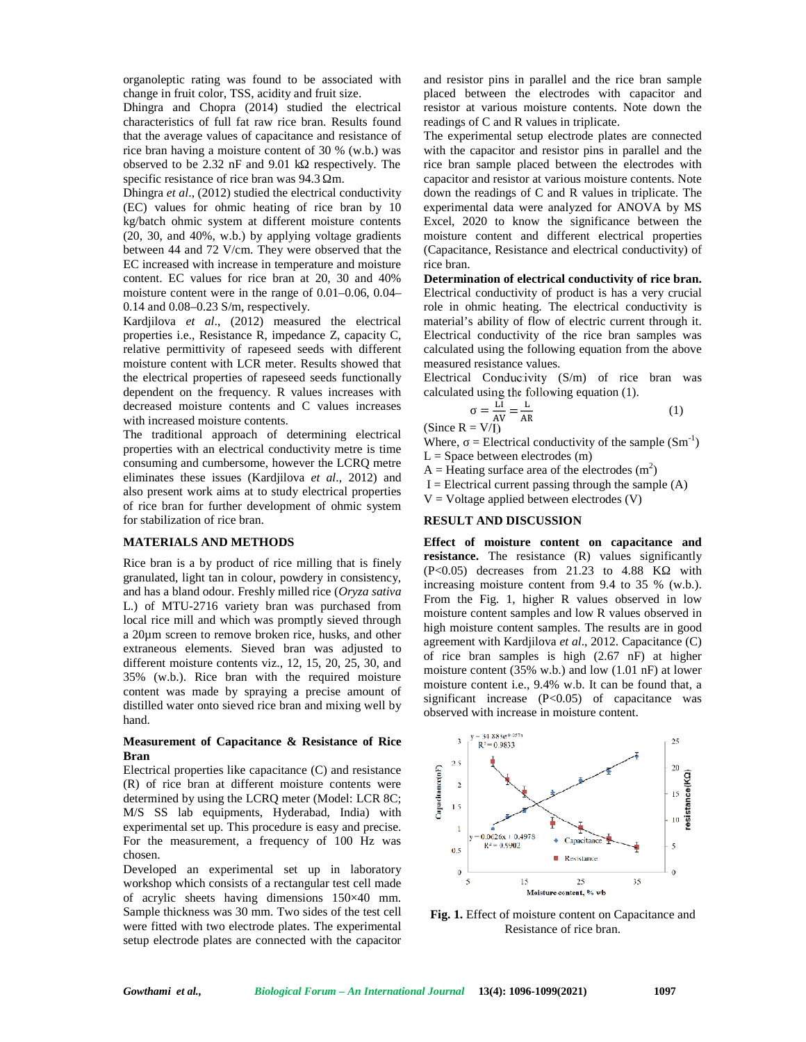organoleptic rating was found to be associated with change in fruit color, TSS, acidity and fruit size.

Dhingra and Chopra (2014) studied the electrical characteristics of full fat raw rice bran. Results found that the average values of capacitance and resistance of rice bran having a moisture content of 30 % (w.b.) was observed to be  $2.32$  nF and  $9.01$  k respectively. The specific resistance of rice bran was 94.3 m.

Dhingra *et al*., (2012) studied the electrical conductivity (EC) values for ohmic heating of rice bran by 10 kg/batch ohmic system at different moisture contents (20, 30, and 40%, w.b.) by applying voltage gradients between 44 and 72 V/cm. They were observed that the EC increased with increase in temperature and moisture content. EC values for rice bran at 20, 30 and 40% moisture content were in the range of 0.01–0.06, 0.04– 0.14 and 0.08–0.23 S/m, respectively.

Kardjilova *et al*., (2012) measured the electrical properties i.e., Resistance R, impedance Z, capacity C, relative permittivity of rapeseed seeds with different moisture content with LCR meter. Results showed that the electrical properties of rapeseed seeds functionally dependent on the frequency. R values increases with decreased moisture contents and C values increases with increased moisture contents.

The traditional approach of determining electrical properties with an electrical conductivity metre is time consuming and cumbersome, however the LCRQ metre eliminates these issues (Kardjilova *et al*., 2012) and also present work aims at to study electrical properties of rice bran for further development of ohmic system for stabilization of rice bran.

### **MATERIALS AND METHODS**

Rice bran is a by product of rice milling that is finely granulated, light tan in colour, powdery in consistency, and has a bland odour. Freshly milled rice (*Oryza sativa* L.) of MTU-2716 variety bran was purchased from local rice mill and which was promptly sieved through a 20µm screen to remove broken rice, husks, and other extraneous elements. Sieved bran was adjusted to different moisture contents viz., 12, 15, 20, 25, 30, and 35% (w.b.). Rice bran with the required moisture content was made by spraying a precise amount of distilled water onto sieved rice bran and mixing well by hand.

#### **Measurement of Capacitance & Resistance of Rice Bran**

Electrical properties like capacitance (C) and resistance<br>
(R) of rice bran at different moisture contents were<br>
determined by using the LCRQ meter (Model: LCR 8C;<br>
M/S SS lab equipments, Hyderabad, India) with (R) of rice bran at different moisture contents were determined by using the LCRQ meter (Model: LCR 8C; M/S SS lab equipments, Hyderabad, India) with experimental set up. This procedure is easy and precise. For the measurement, a frequency of 100 Hz was chosen.

Developed an experimental set up in laboratory workshop which consists of a rectangular test cell made of acrylic sheets having dimensions 150×40 mm. Sample thickness was 30 mm. Two sides of the test cell were fitted with two electrode plates. The experimental setup electrode plates are connected with the capacitor

and resistor pins in parallel and the rice bran sample placed between the electrodes with capacitor and resistor at various moisture contents. Note down the readings of C and R values in triplicate.

The experimental setup electrode plates are connected with the capacitor and resistor pins in parallel and the rice bran sample placed between the electrodes with capacitor and resistor at various moisture contents. Note down the readings of C and R values in triplicate. The experimental data were analyzed for ANOVA by MS Excel, 2020 to know the significance between the moisture content and different electrical properties (Capacitance, Resistance and electrical conductivity) of rice bran.

**Determination of electrical conductivity of rice bran.** Electrical conductivity of product is has a very crucial role in ohmic heating. The electrical conductivity is material's ability of flow of electric current through it. Electrical conductivity of the rice bran samples was calculated using the following equation from the above measured resistance values.

Electrical Conductivity (S/m) of rice bran was calculated using the following equation (1).

$$
= \frac{\overline{LI}}{\overline{AV}} = \frac{L}{\overline{AR}}
$$
 (1)

Where,  $=$  Electrical conductivity of the sample  $(Sm^{-1})$  $L = Space between electrodes (m)$ 

A = Heating surface area of the electrodes  $(m^2)$ 

 $I =$  Electrical current passing through the sample  $(A)$ 

 $V = Vol$ tage applied between electrodes  $(V)$ 

#### **RESULT AND DISCUSSION**

**Effect of moisture content on capacitance and resistance.** The resistance (R) values significantly  $(P<0.05)$  decreases from 21.23 to 4.88 K with increasing moisture content from 9.4 to 35 % (w.b.). From the Fig. 1, higher R values observed in low moisture content samples and low R values observed in high moisture content samples. The results are in good agreement with Kardjilova *et al*., 2012. Capacitance (C) of rice bran samples is high (2.67 nF) at higher moisture content (35% w.b.) and low (1.01 nF) at lower moisture content i.e., 9.4% w.b. It can be found that, a significant increase  $(P<0.05)$  of capacitance was observed with increase in moisture content.



**Fig. 1.** Effect of moisture content on Capacitance and Resistance of rice bran.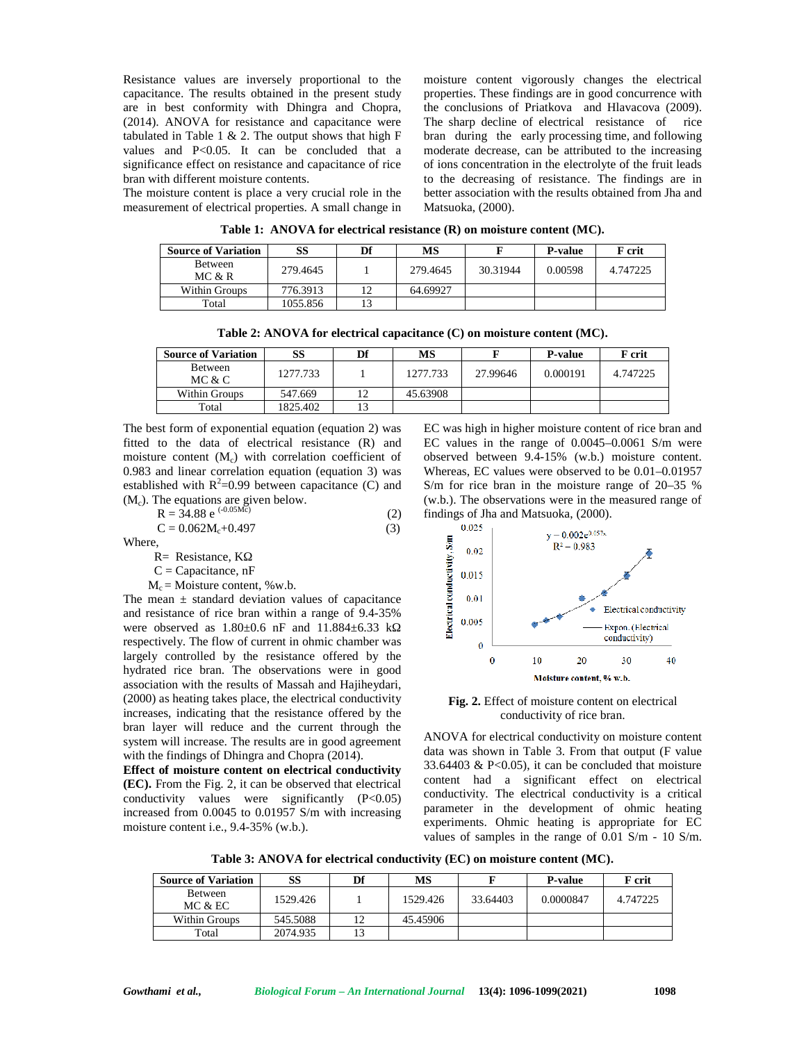Resistance values are inversely proportional to the capacitance. The results obtained in the present study are in best conformity with Dhingra and Chopra, (2014). ANOVA for resistance and capacitance were tabulated in Table 1  $\&$  2. The output shows that high F values and P<0.05. It can be concluded that a significance effect on resistance and capacitance of rice bran with different moisture contents.

The moisture content is place a very crucial role in the measurement of electrical properties. A small change in

moisture content vigorously changes the electrical properties. These findings are in good concurrence with the conclusions of Priatkova and Hlavacova (2009). The sharp decline of electrical resistance of rice bran during the early processing time, and following moderate decrease, can be attributed to the increasing of ions concentration in the electrolyte of the fruit leads to the decreasing of resistance. The findings are in better association with the results obtained from Jha and Matsuoka, (2000).

**Table 1: ANOVA for electrical resistance (R) on moisture content (MC).**

| <b>Source of Variation</b> | SS       | Df | МS       |          | <b>P-value</b> | F crit   |
|----------------------------|----------|----|----------|----------|----------------|----------|
| Between<br>MC & R          | 279.4645 |    | 279.4645 | 30.31944 | 0.00598        | 4.747225 |
| Within Groups              | 776.3913 |    | 64.69927 |          |                |          |
| Total                      | 1055.856 |    |          |          |                |          |

**Table 2: ANOVA for electrical capacitance (C) on moisture content (MC).**

| <b>Source of Variation</b> | SS       | Df | MS       |          | <b>P</b> -value | F crit   |
|----------------------------|----------|----|----------|----------|-----------------|----------|
| Between<br>MC & C          | 1277.733 |    | 1277.733 | 27.99646 | 0.000191        | 4.747225 |
| Within Groups              | 547.669  |    | 45.63908 |          |                 |          |
| Total                      | 1825.402 |    |          |          |                 |          |

The best form of exponential equation (equation 2) was fitted to the data of electrical resistance (R) and moisture content  $(M_c)$  with correlation coefficient of 0.983 and linear correlation equation (equation 3) was established with  $R^2$ =0.99 between capacitance (C) and  $(M<sub>c</sub>)$ . The equations are given below.

$$
R = 34.88 e^{(-0.05M\tilde{c})}
$$
 (2) fit  
C = 0.062M<sub>c</sub>+0.497 (3)

Where,

R= Resistance, K

 $C =$ Capacitance, nF

 $M_c$  = Moisture content, %w.b.

Where,<br>
R= Resistance, K<br>
C = Capacitance, nF<br>  $M_c$  = Moisture content, %w.b.<br>
The mean  $\pm$  standard deviation values of capacitance<br>
and resistance of rice bran within a range of 9.4-35%<br>
were observed as 1.80±0.6 nF an and resistance of rice bran within a range of  $9.4-35\%$ were observed as  $1.80 \pm 0.6$  nF and  $11.884 \pm 6.33$  k respectively. The flow of current in ohmic chamber was largely controlled by the resistance offered by the hydrated rice bran. The observations were in good association with the results of Massah and Hajiheydari, (2000) as heating takes place, the electrical conductivity increases, indicating that the resistance offered by the bran layer will reduce and the current through the system will increase. The results are in good agreement with the findings of Dhingra and Chopra (2014).

**Effect of moisture content on electrical conductivity (EC).** From the Fig. 2, it can be observed that electrical conductivity values were significantly (P<0.05) increased from 0.0045 to 0.01957 S/m with increasing moisture content i.e., 9.4-35% (w.b.).

EC was high in higher moisture content of rice bran and EC values in the range of 0.0045–0.0061 S/m were observed between 9.4-15% (w.b.) moisture content. Whereas, EC values were observed to be 0.01–0.01957 S/m for rice bran in the moisture range of 20–35 % (w.b.). The observations were in the measured range of findings of Jha and Matsuoka, (2000).



**Fig. 2.** Effect of moisture content on electrical conductivity of rice bran.

ANOVA for electrical conductivity on moisture content data was shown in Table 3. From that output (F value 33.64403  $& P<0.05$ , it can be concluded that moisture content had a significant effect on electrical conductivity. The electrical conductivity is a critical parameter in the development of ohmic heating experiments. Ohmic heating is appropriate for EC values of samples in the range of 0.01 S/m - 10 S/m.

**Table 3: ANOVA for electrical conductivity (EC) on moisture content (MC).**

| <b>Source of Variation</b> | SS       | Df | MS       |          | <b>P-value</b> | F crit   |
|----------------------------|----------|----|----------|----------|----------------|----------|
| <b>Between</b><br>MC & EC  | 1529.426 |    | 1529.426 | 33.64403 | 0.0000847      | 4.747225 |
| Within Groups              | 545.5088 | 12 | 45.45906 |          |                |          |
| Total                      | 2074.935 | 13 |          |          |                |          |